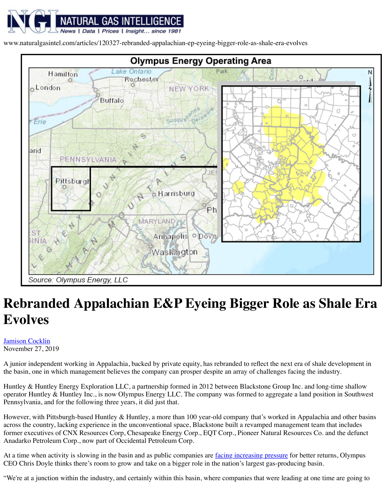

Source: Olympus Energy, LLC

## **Rebranded Appalachian E&P Eyeing Bigger Evolves**

Jamison Cocklin November 27, 2019

A junior independent working in Appalachia, backed by private equity, has rebranded to reflect the basin, one in which management believes the company can prosper despite an array of cha

Huntley & Huntley Energy Exploration LLC, a partnership formed in 2012 between Blackston operator Huntley & Huntley Inc., is now Olympus Energy LLC. The company was formed to a Pennsylvania, and for the following three years, it did just that.

However, with Pittsburgh-based Huntley  $&$  Huntley, a more than 100 year-old company that's across the country, lacking experience in the unconventional space, Blackstone built a revamped former executives of CNX Resources Corp, Chesapeake Energy Corp., EQT Corp., Pioneer Natural Resources Corp. Anadarko Petroleum Corp., now part of Occidental Petroleum Corp.

At a time when activity is slowing in the basin and as public companies are *facing increasing pressure for the better* and as public companies are *facing increasing* CEO Chris Doyle thinks there's room to grow and take on a bigger role in the nation's largest

["We](https://www.naturalgasintel.com/authors/13-jamison-cocklin)'[re at a juncti](https://www.naturalgasintel.com/authors/13-jamison-cocklin)on within the industry, and certainly within this basin, where companies that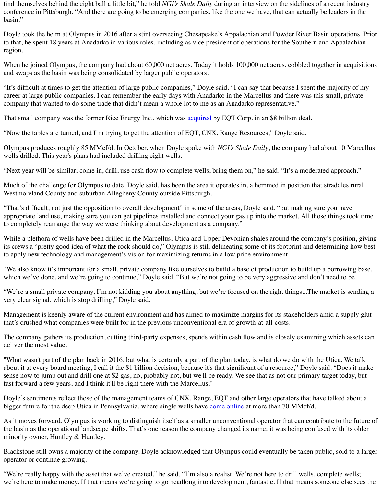Olympus produces roughly 85 MMcf/d. In October, when Doyle spoke with *NGI's Shale Daily* wells drilled. This year's plans had included drilling eight wells.

"Next year will be similar; come in, drill, use cash flow to complete wells, bring them on," he

Much of the challenge for Olympus to date, Doyle said, has been the area it operates in, a hem Westmoreland County and suburban Allegheny County outside Pittsburgh.

"That's difficult, not just the opposition to overall development" in some of the areas, Doyle said. appropriate land use, making sure you can get pipelines installed and connect your gas up into to completely rearrange the way we were thinking about development as a company."

While a plethora of wells have been drilled in the Marcellus, Utica and Upper Devonian shales its crews a "pretty good idea of what the rock should do," Olympus is still delineating some of to apply new technology and management's vision for maximizin[g returns](https://www.naturalgasintel.com/articles/110822-eqt-becoming-appalachian-natural-gas-powerhouse-in-takeover-of-rice-energy) in a low price envir

"We also know it's important for a small, private company like ourselves to build a base of production to build up a base,  $\alpha$ which we've done, and we're going to continue," Doyle said. "But we're not going to be very

"We're a small private company, I'm not kidding you about anything, but we're focused on the very clear signal, which is stop drilling," Doyle said.

Management is keenly aware of the current environment and has aimed to maximize margins for  $\mu$ that's crushed what companies were built for in the previous unconventional era of growth-at-all-costs.

The company gathers its production, cutting third-party expenses, spends within cash flow and deliver the most value.

"What wasn't part of the plan back in 2016, but what is certainly a part of the plan today, is wh about it at every board meeting, I call it the \$1 billion decision, because it's that significant of a sense now to jump out and drill one at \$2 gas, no, probably not, but we'll be ready. We see that fast forward a few years, and I think it'll be right there with the Marcellus."

Doyle's sentiments reflect those of the management teams of CNX, Range, EQT and other large bigger future for the deep Utica in Pennsylvania, where single wells have come online at more

As it moves forward, Olympus is working to distinguish itself as a smaller unconventional ope the basin as the operational landscape shifts. That's one reason the company changed its name minority owner, Huntley & Huntley.

Blackstone still owns a majority of the company. Doyle acknowledged that Olympus could even operator or continue growing.

"We're really happy with the asset that we've created," he said. "I'm also a realist. We're not here to drill wells, complete wells, complete wells, complete wells, complete wells, complete wells, complete wells, wells, co we're here to make money. If that means we're going to go headlong into development, fantastic. If that means we're going to go headlong into development, fantasthe